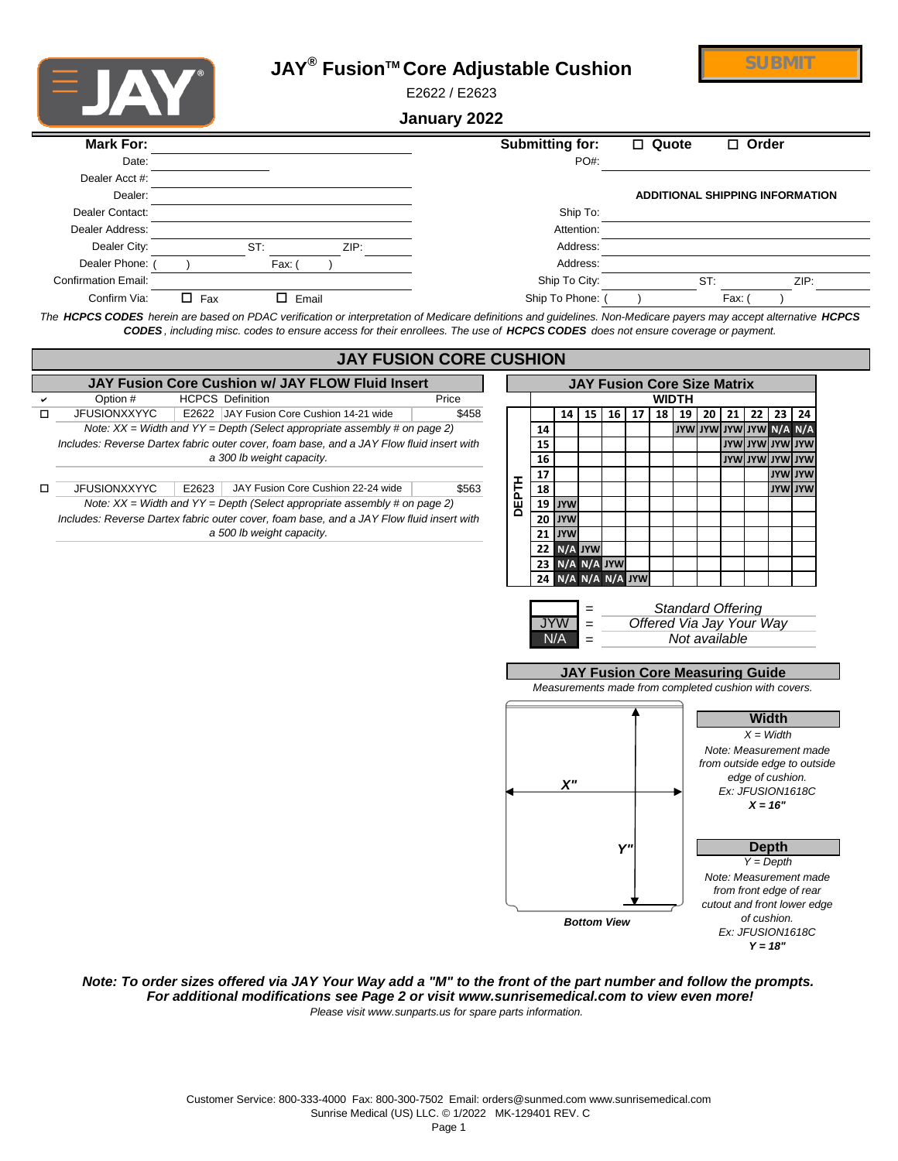



E2622 / E2623

**January 2022**

| Mark For:                  |            |        |       | Submitting for:                                                                                                                                                  | $\Box$ Quote | $\Box$ Order                           |
|----------------------------|------------|--------|-------|------------------------------------------------------------------------------------------------------------------------------------------------------------------|--------------|----------------------------------------|
| Date:                      |            |        |       | $PO#$ :                                                                                                                                                          |              |                                        |
| Dealer Acct #:             |            |        |       |                                                                                                                                                                  |              |                                        |
| Dealer:                    |            |        |       |                                                                                                                                                                  |              | <b>ADDITIONAL SHIPPING INFORMATION</b> |
| Dealer Contact:            |            |        |       | Ship To:                                                                                                                                                         |              |                                        |
| Dealer Address:            |            |        |       | Attention:                                                                                                                                                       |              |                                        |
| Dealer City:               |            | ST:    | ZIP:  | Address:                                                                                                                                                         |              |                                        |
| Dealer Phone:              |            | Fax: I |       | Address:                                                                                                                                                         |              |                                        |
| <b>Confirmation Email:</b> |            |        |       | Ship To City:                                                                                                                                                    |              | ST:<br>ZIP:                            |
| Confirm Via:               | $\Box$ Fax | п      | Email | Ship To Phone:                                                                                                                                                   |              | Fax: (                                 |
|                            |            |        |       | The HCPCS CODES herein are based on PDAC verification or interpretation of Medicare definitions and guidelines. Non-Medicare payers may accept alternative HCPCS |              |                                        |



*Note: To order sizes offered via JAY Your Way add a "M" to the front of the part number and follow the prompts. For additional modifications see Page 2 or visit www.sunrisemedical.com to view even more! Please visit www.sunparts.us for spare parts information.*